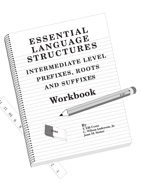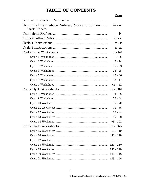## **TABLE OF CONTENTS**

|                                                                            | Page         |
|----------------------------------------------------------------------------|--------------|
|                                                                            | $\mathbf{1}$ |
| Using the Intermediate Prefixes, Roots and Suffixes<br><b>Cycle Sheets</b> | $iii - iv$   |
|                                                                            | iv           |
|                                                                            | $iv - v$     |
|                                                                            | $V - X$      |
|                                                                            | $x - xi$     |
|                                                                            | $1 - 52$     |
|                                                                            | $1 - 6$      |
|                                                                            | $7 - 14$     |
|                                                                            | $15 - 22$    |
|                                                                            | $23 - 28$    |
|                                                                            | $29 - 36$    |
|                                                                            | $37 - 44$    |
|                                                                            | $45 - 52$    |
|                                                                            |              |
|                                                                            | $53 - 58$    |
|                                                                            | $59 - 64$    |
|                                                                            | $65 - 70$    |
|                                                                            | $71 - 76$    |
|                                                                            | $77 - 84$    |
|                                                                            | $85 - 92$    |
|                                                                            | $93 - 102$   |
|                                                                            |              |
|                                                                            | $103 - 110$  |
|                                                                            | $111 - 118$  |
|                                                                            | $119 - 124$  |
|                                                                            | $125 - 130$  |
|                                                                            | $131 - 140$  |
|                                                                            | 141 - 148    |
|                                                                            | $149 - 156$  |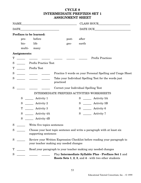## **CYCLE 8 INTERMEDIATE PREFIXES SET 1 ASSIGNMENT SHEET**

|             |              | NAME NAME                                                                                                                                                                         |                                                                    |       |                   |                                                            |
|-------------|--------------|-----------------------------------------------------------------------------------------------------------------------------------------------------------------------------------|--------------------------------------------------------------------|-------|-------------------|------------------------------------------------------------|
| <b>DATE</b> |              |                                                                                                                                                                                   | DATE DUE                                                           |       |                   |                                                            |
|             |              | <b>Prefixes to be learned:</b>                                                                                                                                                    |                                                                    |       |                   |                                                            |
|             | pre-         | before                                                                                                                                                                            |                                                                    | post- | after             |                                                            |
|             | bio-         | life                                                                                                                                                                              |                                                                    | geo-  | earth             |                                                            |
|             | multi-       | many                                                                                                                                                                              |                                                                    |       |                   |                                                            |
|             | Assignments: |                                                                                                                                                                                   |                                                                    |       |                   |                                                            |
| Т           |              |                                                                                                                                                                                   |                                                                    |       |                   | <b>Prefix Practices</b>                                    |
| S           |              | <b>Prefix Practice Test</b>                                                                                                                                                       |                                                                    |       |                   |                                                            |
| T           |              | Prefix Test                                                                                                                                                                       |                                                                    |       |                   |                                                            |
| S           |              |                                                                                                                                                                                   |                                                                    |       |                   | Practice 5 words on your Personal Spelling and Usage Sheet |
| S           |              |                                                                                                                                                                                   | Take your Individual Spelling Test for the words just<br>practiced |       |                   |                                                            |
| S           |              |                                                                                                                                                                                   | Correct your Individual Spelling Test                              |       |                   |                                                            |
|             |              |                                                                                                                                                                                   |                                                                    |       |                   | INTERMEDIATE PREFIXES ACTIVITIES WORKSHEETS                |
|             | S            | Activity 1<br>$\frac{1}{2}$ , $\frac{1}{2}$ , $\frac{1}{2}$ , $\frac{1}{2}$ , $\frac{1}{2}$ , $\frac{1}{2}$ , $\frac{1}{2}$ , $\frac{1}{2}$                                       |                                                                    |       | $S_{\rm}$         | $\frac{1}{2}$ Activity 5A                                  |
|             | ${\bf S}$    | Activity 2                                                                                                                                                                        |                                                                    |       | $S_{\text{}}$     | _________ Activity 5B                                      |
|             | T            | Activity 3                                                                                                                                                                        |                                                                    |       |                   | $S \quad$ Activity 6                                       |
|             | S            | Activity 4A<br>$\frac{1}{\sqrt{2}}\left( \frac{1}{\sqrt{2}}\right)$ , $\frac{1}{\sqrt{2}}\left( \frac{1}{\sqrt{2}}\right)$ , $\frac{1}{\sqrt{2}}\left( \frac{1}{\sqrt{2}}\right)$ |                                                                    |       | $S \qquad \qquad$ | Activity 7                                                 |
|             | S            | <b>Activity 4B</b>                                                                                                                                                                |                                                                    |       |                   |                                                            |
| S           |              | Write five topics sentences                                                                                                                                                       |                                                                    |       |                   |                                                            |
| S           |              | Choose your best topic sentence and write a paragraph with at least six<br>supporting sentences                                                                                   |                                                                    |       |                   |                                                            |
| S           |              | Review your Written Expression Checklist before reading your paragraph to<br>your teacher making any needed changes                                                               |                                                                    |       |                   |                                                            |
| Т           |              |                                                                                                                                                                                   | Read your paragraph to your teacher making any needed changes      |       |                   |                                                            |
| S           |              | Play Intermediate Syllable Plus - Prefixes Set 1 and<br><b>Roots Sets 1, 2, 3, and 4 - with two other students</b>                                                                |                                                                    |       |                   |                                                            |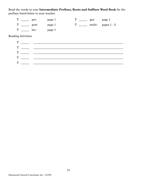Read the words in your **Intermediate Prefixes, Roots and Suffixes Word Book** for the prefixes listed below to your teacher.

| m | pre-          | page 1 | $geo-$ | page 1              |
|---|---------------|--------|--------|---------------------|
| T | $\text{post}$ | page 1 |        | multi-pages $1 - 2$ |
|   | bio-          | page 1 |        |                     |

Reading Activities

| T |  |
|---|--|
| T |  |
| T |  |
| T |  |
| T |  |
|   |  |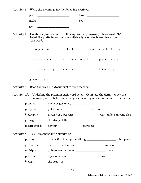**Activity 1:** Write the meanings for the following prefixes.

| post-  | bio- |
|--------|------|
| multi- | pre- |
| geo-   |      |

**Activity 2:** Isolate the prefixes in the following words by drawing a backwards "L". Label the prefix by writing the syllable type on the blank line above the word.

| prepare           | multipurpose | multiply |
|-------------------|--------------|----------|
| postpone          | geothermal   | postwar  |
| biography prevent |              | biology  |
| п.                |              |          |

geology

**Activity 3:** Read the words in **Activity 2** to your teacher.

**Activity 4A:** Underline the prefix in each word below. Complete the definition for the following words below by writing the meaning of the prefix on the blank line.

| prepare      |          |
|--------------|----------|
| postpone     | an event |
| biography    |          |
| geology      |          |
| multipurpose | purposes |

**Activity 4B:** See directions for **Activity 4A**.

| prevent    |                       | it happens |
|------------|-----------------------|------------|
| geothermal | using the heat of the | interior   |
| multiply   |                       | times      |
| postwar    | a period of time      | a war      |
| biology    |                       |            |
|            |                       |            |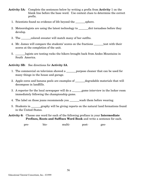- **Activity 5A:** Complete the sentences below by writing a prefix from **Activity** 1 on the blank line before the base word. Use context clues to determine the correct prefix.
	- 1. Scientists found no evidence of life beyond the \_\_\_\_\_\_\_sphere.
	- 2. Meteorologists are using the latest technology to dict tornadoes before they develop.
	- 3. The \_\_\_\_\_\_\_colored sweater will match many of her outfits.
	- 4. Mr. James will compare the students' scores on the fractions \_\_\_\_\_\_\_test with their scores at the completion of the unit.
	- 5. \_\_\_\_\_\_\_logists are testing rocks the hikers brought back from Andes Mountains in South America.

## **Activity 5B:** See directions for **Activity 5A**.

- 1. The commercial on television showed a \_\_\_\_\_\_\_purpose cleaner that can be used for many things in the house and garage.
- 2. Apple cores and banana peels are examples of \_\_\_\_\_\_\_degradable materials that will decompose in landfills.
- 3. A reporter for the local newspaper will do a \_\_\_\_\_\_\_\_\_game interview in the locker room immediately following the championship game.
- 4. The label on those jeans recommends you \_\_\_\_\_\_\_wash them before wearing.
- 5. Students in \_\_\_\_\_\_\_graphy will be giving reports on the natural land formations found in the United States.
- **Activity 6:** Choose one word for each of the following prefixes in your **Intermediate Prefixes, Roots and Suffixes Word Book** and write a sentence for each.

pre- bio- multi- post- geo-